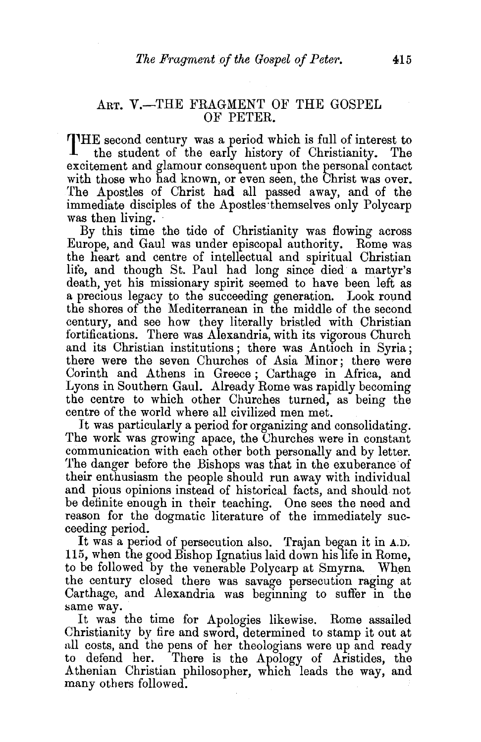## ART. V.-THE FRAGMENT OF THE GOSPEL OF PETER.

THE second century was a period which is full of interest to the student of the early history of Christianity. The excitement and glamour consequent upon the personal contact with those who had known, or even seen, the Christ was over. The Apostles of Christ had all passed away, and of the immediate disciples of the Apostles·themselves only Polycarp was then living.<br>By this time the tide of Christianity was flowing across

Europe, and Gaul was under episcopal authority. Rome was the heart and centre of intellectual and spiritual Christian life, and though St. Paul had long since died a martyr's death, yet his missionary spirit seemed to have been left as a precious legacy to the succeeding generation. Look round the shores of the Mediterranean in the middle of the second century, and see how they literally bristled with Christian fortifications. There was Alexandria, with its vigorous Church and its Christian institutions ; there was Antioch in Syria; there were the seven Churches of Asia Minor; there were Corinth and Athens in Greece ; Carthage in Africa, and Lyons in Southern Gaul. Already Rome was rapidly becoming the centre to which other Churches turned, as being the centre of the worid where all civilized men met.

It was particularly a period for organizing and consolidating. The work was growing apace, the Churches were in constant communication with each other both personally and by letter. The danger before the Bishops was that in the exuberance of their enthusiasm the people should run away with individual and pious opinions instead of historical facts, and should not be definite enough in their teaching. One sees the need and reason for the dogmatic literature of the immediately succeeding period.

It was a period of persecution also. Trajan began it in A.D. 115, when the good Bishop Ignatius laid down his life in Rome, to be followed by the venerable Polycarp at Smyrna. When the century closed there was savage persecution raging at Carthage, and Alexandria was beginning to suffer in the same way.

It was the time for Apologies likewise. Rome assailed Christianity by fire and sword, determined to stamp it out at all costs, and the pens of her theologians were up and ready to defend her. There is the Apology of Aristides, the Athenian Christian philosopher, which leads the way, and many others followed.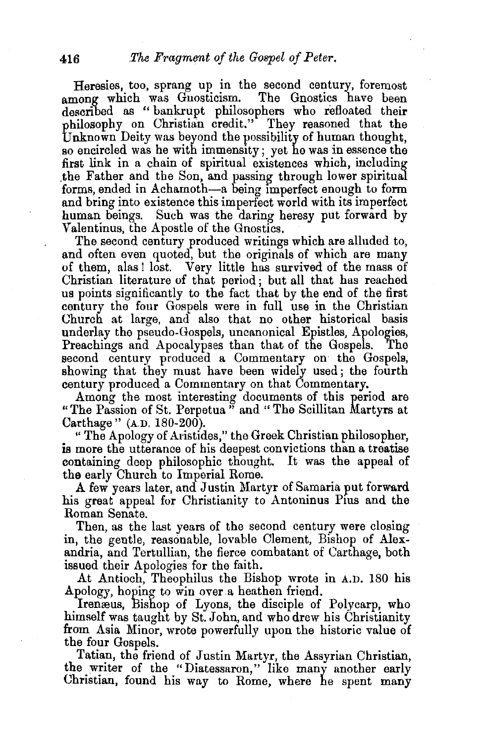Heresies, too, sprang up in the second century, foremost nong which was Guosticism. The Gnostics have been among which was Gnosticism. described as " bankrupt philosophers who refloated their philosophy on Christian credit." They reasoned that the Unknown Deity was beyond the possibility of human thought. so encircled was he with immensity ; yet he was in essence the first link in a chain of spiritual existences which, including the Father and the Son, and passing through lower spiritual forms, ended in Achamoth-a being Imperfect enough to form and bring into existence this imperfect world with its imperfect human beings. Such was the daring heresy put forward by Valentinus, the Apostle of the Gnostics.

The second century produced writings which are alluded to, and often even quoted, but the originals of which are many of them, alas ! lost. Very little has survived of the mass of Christian literature of that period; but all that has reached us points significantly to the fact that by the end of the first century the four Gospels were in full use in the Christian Church at large, and also that no other historical basis underlay the pseudo-Gospels, uncanonical Epistles, Apologies, Preachings and Apocalypses than that of the Gospels. second century produced a Commentary on the Gospels, showing that they must have been widely used; the fourth century produced a Commentary on that Commentary.

Among the most interesting documents of this period are "The Passion of St. Perpetua<sup>37</sup> and "The Scillitan Martyrs at Carthage " (A.D. 180-200).

" The Apology of Aristides," the Greek Christian philosopher, is more the utterance of his deepest convictions than a treatise containing deep philosophic thought. It was the appeal of the early Church to Imperial Rome.

A few years later, and Justin Martyr of Samaria put forward his great appeal for Christianity to Antoninus Pius and the Roman Senate.

Then, as the last years of the second century were closing in, the gentle, reasonable, lovable Clement, Bishop of Alexandria, and Tertullian, the fierce combatant of Carthage, both issued their Apologies for the faith.

At Antioch, Theophilus the Bishop wrote in A.D. 180 his Apology, hoping to win over a heathen friend.

Irenæus, Bishop of Lyons, the disciple of Polycarp, who himself was taught by St.John, and who drew his Christianity from Asia Minor, wrote powerfully upon the historic value of the four Gospels.

Tatian, the friend of Justin Martyr, the Assyrian Christian, the writer of the "Diatessaron," like many another early Christian, found his way to Rome, where he spent many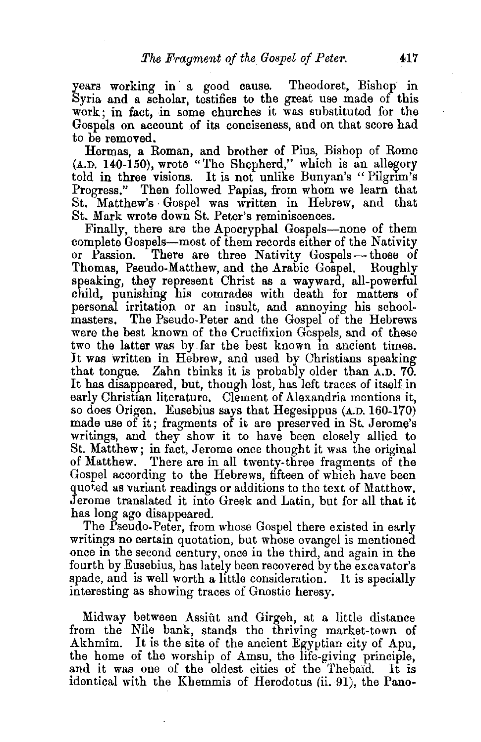years working in a good cause. Theodoret, Bishop in Syria and a scholar, testifies to the great use made of this work; in fact, in some churches it was substituted for the Gospels on account of its conciseness, and on that score had to be removed.

Hermas, a Roman, and brother of Pius, Bishop of Rome  $(A.D. 140-150)$ , wrote "The Shepherd," which is an allegory told in three visions. It is not unlike Bunyan's "Pilgrim's Progress." Then followed Papias, from whom we learn that St. Matthew's ·Gospel was written in Hebrew, and that St. Mark wrote down St. Peter's reminiscences.

Finally, there are the Apocryphal Gospels--none of them complete Gospels-most of them records either of the Nativity or Passion. There are three Nativity Gospels-those of Thomas, Pseudo-Matthew, and the Arabic Gospel. Roughly speaking, they represent Christ as a wayward, all-powerful child, punishing his comrades with death for matters of personal irritation or an insult, and annoying his schoolmasters. The Pseudo-Peter and the Gospel of the Hebrews were the best known of the Crucifixion Gospels, and of these two the latter was by. far the best known in ancient times. It was written in Hebrew, and used by Christians speaking that tongue. Zahn thinks it is probably older than A.D. 70. It has disappeared, but, though lost, has left traces of itself in early Christian literature. Clement of Alexandria mentions it, so does Origen. Eusebius says that Hegesippus (A.D. 160-170) made use of it ; fragments of it are preserved in St. Jerome's writings, and they show it to have been closely allied to St. Matthew; in fact, Jerome once thought it was the original of Matthew. There are in all twenty-three fragments of the Gospel according to the Hebrews, fifteen of which have been quoted as variant readings or additions to the text of Matthew. Jerome translated it into Greek and Latin, but for all that it has long ago disappeared.

The Pseudo-Peter, from whose Gospel there existed in early writings no certain quotation, but whose evangel is mentioned once in the second century, once in the third, and again in the fourth by Eusebius, has lately been recovered by the excavator's spade, and is well worth a little consideration. It is specially interesting as showing traces of Gnostic heresy.

Midway between Assiût and Girgeh, at a little distance from the Nile bank, stands the thriving market-town of Akhmim. It is the site of the ancient Egyptian city of Apu, the home of the worship of Amsu, the life-giving principle, and it was one of the oldest cities of the Thebaid. It is identical with the Kbemmis of Herodotus (ii. 91), the Pano-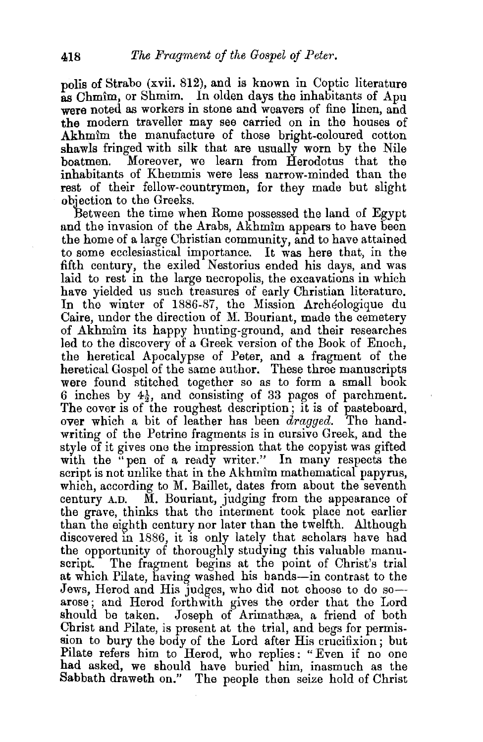polis of Strabo (xvii. 812), and is known in Coptic literature as Chmim, or Shmim. In olden days the inhabitants of Apu were noted as workers in stone and weavers of fine linen, and the modern traveller may see carried on in the houses of Akhmim the manufacture of those bright-coloured cotton shawls fringed with silk that are usually worn by the Nile<br>boatmen. Moreover, we learn from Herodotus that the Moreover, we learn from Herodotus that the inhabitants of Khemmis were less narrow-minded than the rest of their fellow-countrymen, for they made but slight objection to the Greeks.

Between the time when Rome possessed the land of Egypt and the invasion of the Arabs, Akhmim appears to have been the home of a large Christian community, and to have attained to some ecclesiastical importance. It was here that, in the fifth century, the exiled Nestorius ended his days, and was laid to rest in the large necropolis, the excavations in which have yielded us such treasures of early Christian literature. In the winter of 1886-87, the Mission Archeologique du Caire, under the direction of M. Bouriant, made the cemetery of Akhmim its happy hunting-ground, and their researches led to the discovery of a Greek version of the Book of Enoch, the heretical Apocalypse of Peter, and a fragment of the heretical Gospel of the same author. These three manuscripts were found stitched together so as to form a small book 6 inches by  $4\frac{1}{2}$ , and consisting of 33 pages of parchment. The cover is of the roughest description; it is of pasteboard, over which a bit of leather has been *dragged.* The handwriting of the Petrine fragments is in cursive Greek, and the style of it gives one the impression that the copyist was gifted with the "pen of a ready writer." In many respects the script is not unlike that in the Akhmim mathematical papyrus, which, according to M. Baillet, dates from about the seventh century A.D. M. Bouriant, judging from the appearance of the grave, thinks that the interment took place not earlier than the eighth century nor later than the twelfth. Although discovered in 1886, it is only lately that scholars have had the opportunity of thoroughly studying this valuable manu. script. The fragment begins at the point of Christ's trial at which Pilate, having washed his hands-in contrast to the Jews, Herod and His judges, who did not choose to do soarose; and Herod forthwith gives the order that the Lord should be taken. Joseph of Arimathæa, a friend of both Christ and Pilate, is present at the trial, and begs for permission to bury the body of the Lord after His crucifixion; but Pilate refers him to Herod, who replies: "Even if no one had asked, we should have buried him, inasmuch as the Sabbath draweth on." The people then seize hold of Christ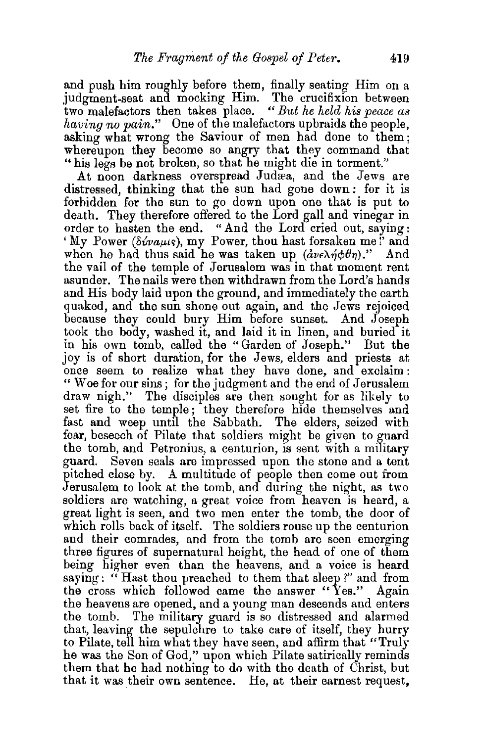and push him roughly before them, finally seating Him on a judgment-seat and mocking Him. The crucifixion between two malefactors then takes place. *"But he held his peace as having no pain."* One of the malefactors upbraids the people, asking what wrong the Saviour of men had done to them; whereupon they become so angry that they command that "his legs be not broken, so that he might die in torment."

At noon darkness overspread Judæa, and the Jews are distressed, thinking that the sun had gone down : for it is forbidden for the sun to go down upon one that is put to death. They therefore offered to the Lord gall and vinegar in order to hasten the end. "And the Lord cried out, saying: 'My Power *(86vaµts)*, my Power, thou hast forsaken me!' and when he had thus said he was taken up  $(\partial \nu \epsilon \lambda \eta \phi \theta \eta)$ ." And the vail of the temple of Jerusalem was in that moment rent asunder. The nails were then withdrawn from the Lord's hands and His body laid upon the ground, and immediately the earth quaked, and the sun shone out again, and the Jews rejoiced because they could bury Him before sunset. And Joseph took the body, washed it, and laid it in linen, and buried it in his own tomb, called the "Garden of Joseph." But the joy is of short duration, for the Jews, elders and priests at, once seem to realize what they have done, and exclaim: " Woe for our sins; for the judgment and the end of Jerusalem draw nigh." The disciples are then sought for as likely to set fire to the temple; they therefore hide themselves and fast and weep until the Sabbath. The elders, seized with fear, beseech of Pilate that soldiers might be given to guard the tomb, and Petronius, a centurion, is sent with a military guard. Seven seals are impressed upon the stone and a tent pitched close by. A multitude of people then come out from Jerusalem to look at the tomb, and during the night, as two soldiers are watching, a great voice from heaven is heard, a great light is seen, and two men enter the tomb, the door of which rolls back of itself. The soldiers rouse up the centurion and their comrades, and from the tomb are seen emerging three figures of supernatural height, the head of one of them being higher even than the heavens, and a voice is heard saying: " Hast thou preached to them that sleep?" and from the cross which followed came the answer "Yes." Again the heavens are opened, and a young man descends and enters the tomb. The military guard is so distressed and alarmed that, leaving the sepulchre to take care of itself, they hurry to Pilate, tell him what they have seen, and affirm that "Truly he was the Son of God," upon which Pilate satirically reminds them that he had nothing to do with the death of Christ, but that it was their own sentence. He, at their earnest request,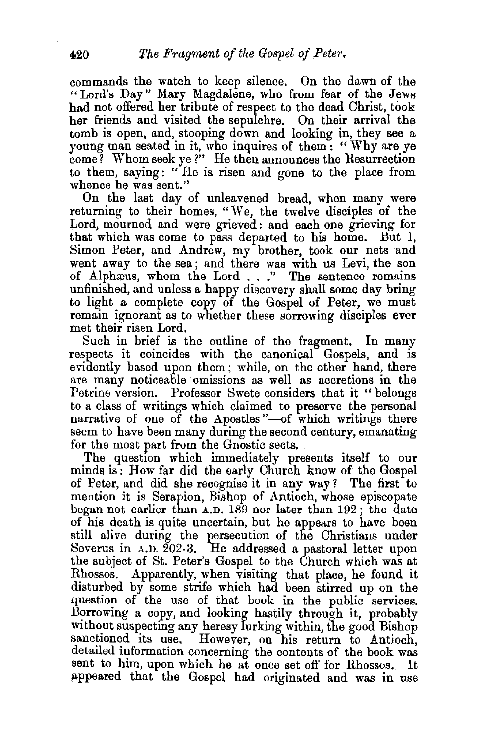commands the watch to keep silence. On the dawn of the " Lord's Day" Mary Magdalene, who from fear of the Jews had not offered her tribute of respect to the dead Christ, took her friends and visited the sepulchre. On their arrival the tomb is open, and, stooping down and looking in, they see a young man seated in it, who inquires of them: " Why are ye come? Whom seek ye ?" He then announces the Resurrection to them, saying: " He is risen and gone to the place from whence he was sent."

On the last day of unleavened bread, when many were returning to their homes, "We, the twelve disciples of the Lord, mourned and were grieved: and each one grieving for that which was come to pass departed to his home. But I, Simon Peter, and Andrew, my brother, took our nets 'and went away to the sea; and there was with us Levi, the son of Alphæus, whom the Lord . . ." The sentence remains unfinished, and unless a happy discovery shall some day bring to light a complete copy of the Gospel of Peter, we must remain ignorant as to whether these sorrowing disciples ever met their risen Lord.

Such in brief is the outline of the fragment. In many respects it coincides with the canonical Gospels, and is evidently based upon them; while, on the other hand, there are many noticeable omissions as well as accretions in the Petrina version. Professor Swete considers that it "belongs to a class of writings which claimed to preserve the personal narrative of one of the Apostles"-of which writings there seem to have been many during the second century, emanating for the most part from the Gnostic sects.

The question which immediately presents itself to our minds is: How far did the early Church know of the Gospel of Peter, and did she recognise it in any way ? The first to mention it is Serapion, Bishop of Antioch, whose episcopate began not earlier than A.D. 189 nor later than 192; the date of his death is quite uncertain, but he appears to have been still alive during the persecution of the Christians under Severus in  $A.D. 202-3.$  He addressed a pastoral letter upon the subject of St. Peter's Gospel to the Church which was at Rhossos. Apparently, when visiting that place, he found it disturbed by some strife which had been stirred up on the question of the use of that book in the public services. Borrowing a copy, and looking hastily through it, probably without suspecting any heresy lurking within, the good Bishop sanctioned its use. However, on his return to Antioch, However, on his return to Antioch, detailed information concerning the contents of the book was sent to him, upon which he at once set off for Rhossos. It appeared that the Gospel had originated and was in use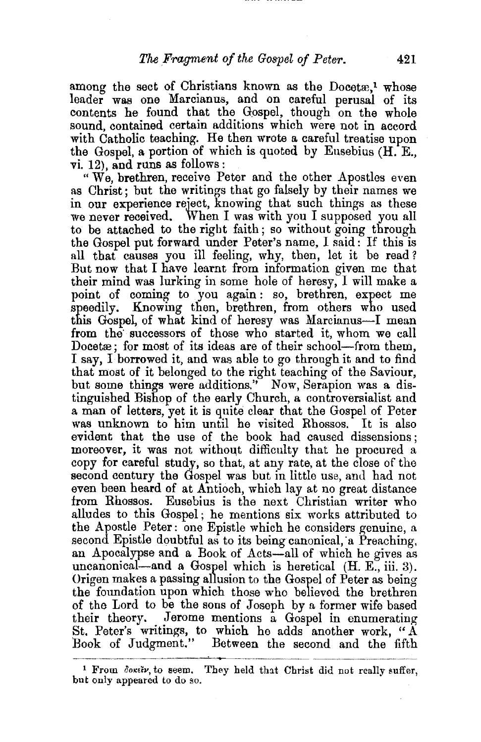among the sect of Christians known as the Docet $x<sup>1</sup>$  whose leader was one Marcianus, and on careful perusal of its contents he found that the Gospel, though on the whole sound, contained certain additions which were not in accord with Catholic teaching. He then wrote a careful treatise upon the Gospel, a portion of which is quoted by Eusebius  $(H.E.,$ vi. 12), and runs as follows:

" We, brethren, receive Peter and the other Apostles even as Christ; but the writings that go falsely by their names we in our experience reject, knowing that such things as these we never received. When I was with you I supposed you all to be attached to the right faith; so without going through the Gospel put forward under Peter's name, I said: If this is all that causes you ill feeling, why, then, let it be read? But now that I have learnt from information given me that their mind was lurking in some hole of heresy, I will make a point of coming to you again : so, brethren, expect me speedily. Knowing then, brethren, from others who used this Gospel, of what kind of heresy was Marcianus-I mean from the successors of those who started it, whom we call Docet $x$ ; for most of its ideas are of their school-from them, I say, I· borrowed it, and was able to go through it and to find that most of it belonged to the right teaching of the Saviour, but some things were additions.'' Now, Serapion was a distinguished Bishop of the early Church, a controversialist and a man of letters, yet it is quite clear that the Gospel of Peter was unknown to him until he visited Rhossos. It is also evident that the use of the book had caused dissensions; moreover, it was not without difficulty that he procured a copy for careful study, so that, at any rate, at the close of the second century the Gospel was but in little use, and had not even been heard of at Antioch, which lay at no great distance from Rhossos. Eusebius is the next Christian writer who alludes to this Gospel ; he mentions six works attributed to the Apostle Peter: one Epistle which he considers genuine, a second Epistle doubtful as to its being canonical, a Preaching, an Apocalypse and a Book of Acts-all of which he gives as uncanonical-and a Gospel which is heretical (H. E., iii. 3). Origen makes a passing allusion to the Gospel of Peter as being the foundation upon which those who believed the brethren of the Lord to be the sons of Joseph by a former wife based their theory. Jerome mentions a Gospel in enumerating St. Peter's writings, to which he adds another work, " $\AA$ Book of Judgment." Between the second and the fifth

<sup>&</sup>lt;sup>1</sup> From  $\delta$ okeiv, to seem. They held that Christ did not really suffer, but only appeared to do so.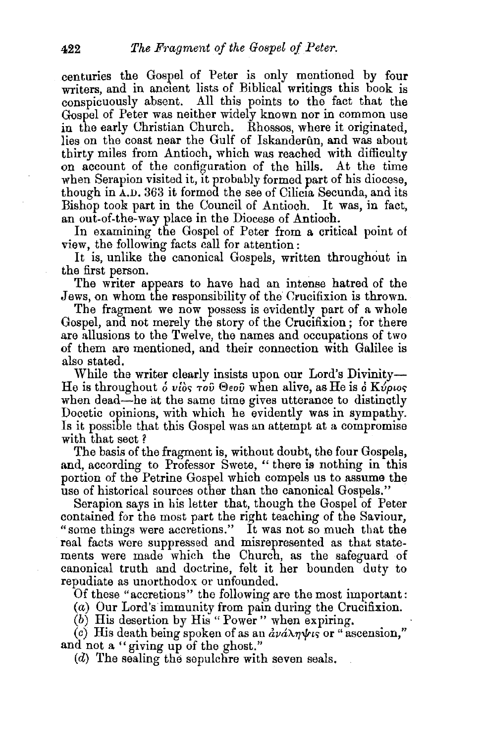centuries the Gospel of Peter is only mentioned by four writers, and in ancient lists of Biblical writings this book is conspicuously absent. All this points to the fact that the Gospel of Peter was neither widely known nor in common use in the early Christian Church. Rhossos, where it originated, lies on the coast near the Gulf of Iskanderun, and was about thirty miles from Antioch, which was reached with difficulty on account of the configuration of the hills. At the time when Serapion visited it, it probably formed part of his diocese, though in A.D. 363 it formed the see of Cilicia Secunda, and its Bishop took part in the Council of Antioch. It was, in fact, an out-of-the-way place in the Diocese of Antioch.

In examining the Gospel of Peter from a critical point of view, the following facts call for attention:

It is, unlike the canonical Gospels, written throughout in the first person.

The writer appears to have had an intense hatred of the Jews, on whom the responsibility of the Crucifixion is thrown.

The fragment we now possess is evidently part of a whole Gospel, and not merely the story of the Crucifixion ; for there are allusions to the Twelve, the names and occupations of two of them are mentioned, and their connection with Galilee is also stated.

While the writer clearly insists upon our Lord's Divinity-He is throughout *o* vios *rov*  $\Theta$ *eov* when alive, as He is a Kvptos when dead-he at the same time gives utterance to distinctly Docetic opinions, with which he evidently was in sympathy. Is it possible that this Gospel was an attempt at a compromise with that sect ?

The basis of the fragment is, without doubt, the four Gospels, and, according to Professor Swete, " there is nothing in this portion of the Petrine Gospel which compels us to assume the use of historical sources other than the canonical Gospels."

Serapion says in his letter that, though the Gospel of Peter contained for the most part the right teaching of the Saviour, "some things were accretions." It was not so much that the real facts were suppressed and misrepresented as that statements were made which the Church, as the safeguard of canonical truth and doctrine, felt it her bounden duty to repudiate as unorthodox or unfounded.

Of these "accretions" the following are the most important:

(a) Our Lord's immunity from pain during the Crucifixion.

(b) His desertion by His" Power" when expiring.

(c) His death being spoken of as an  $d\nu d\lambda\eta\psi$  or " ascension," and not a "giving up of the ghost."

(d) The sealing the sepulchre with seven seals.